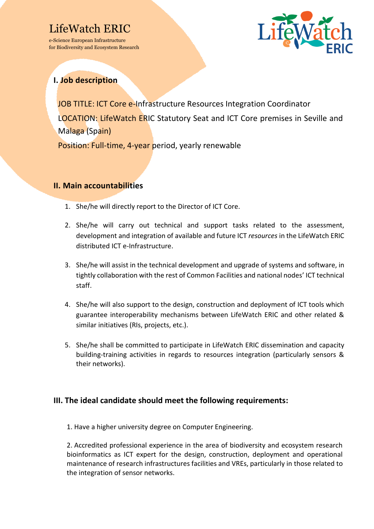# LifeWatch ERIC

e-Science European Infrastructure for Biodiversity and Ecosystem Research



## **I. Job description**

JOB TITLE: ICT Core e-Infrastructure Resources Integration Coordinator LOCATION: LifeWatch ERIC Statutory Seat and ICT Core premises in Seville and Malaga (Spain) Position: Full-time, 4-year period, yearly renewable

### **II. Main accountabilities**

- 1. She/he will directly report to the Director of ICT Core.
- 2. She/he will carry out technical and support tasks related to the assessment, development and integration of available and future ICT *resources* in the LifeWatch ERIC distributed ICT e-Infrastructure.
- 3. She/he will assist in the technical development and upgrade of systems and software, in tightly collaboration with the rest of Common Facilities and national nodes' ICT technical staff.
- 4. She/he will also support to the design, construction and deployment of ICT tools which guarantee interoperability mechanisms between LifeWatch ERIC and other related & similar initiatives (RIs, projects, etc.).
- 5. She/he shall be committed to participate in LifeWatch ERIC dissemination and capacity building-training activities in regards to resources integration (particularly sensors & their networks).

### **III. The ideal candidate should meet the following requirements:**

1. Have a higher university degree on Computer Engineering.

2. Accredited professional experience in the area of biodiversity and ecosystem research bioinformatics as ICT expert for the design, construction, deployment and operational maintenance of research infrastructures facilities and VREs, particularly in those related to the integration of sensor networks.